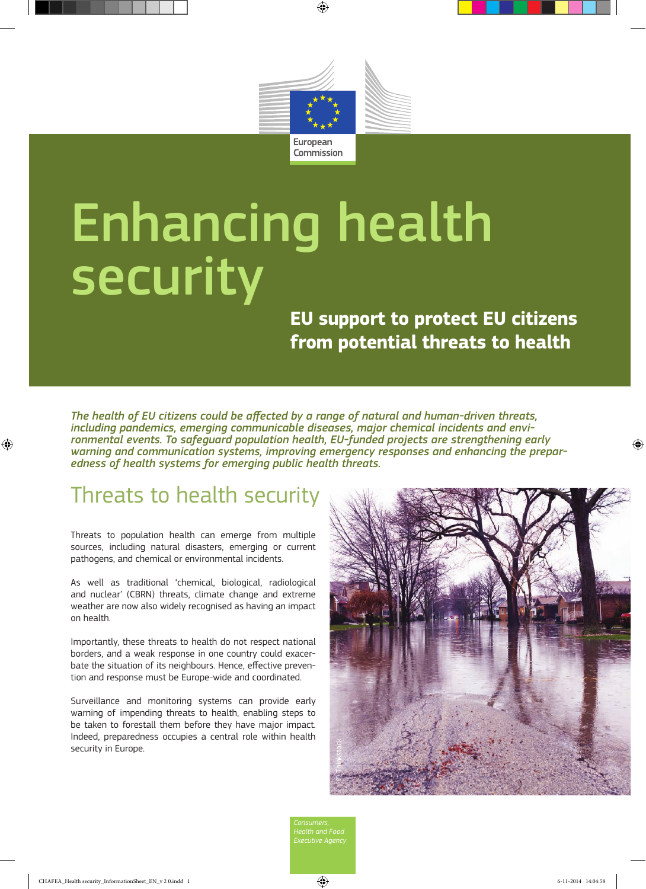

# Enhancing health security

**EU support to protect EU citizens from potential threats to health**

*The health of EU citizens could be affected by a range of natural and human-driven threats, including pandemics, emerging communicable diseases, major chemical incidents and environmental events. To safeguard population health, EU-funded projects are strengthening early warning and communication systems, improving emergency responses and enhancing the preparedness of health systems for emerging public health threats.* 

# Threats to health security

Threats to population health can emerge from multiple sources, including natural disasters, emerging or current pathogens, and chemical or environmental incidents.

As well as traditional 'chemical, biological, radiological and nuclear' (CBRN) threats, climate change and extreme weather are now also widely recognised as having an impact on health.

Importantly, these threats to health do not respect national borders, and a weak response in one country could exacerbate the situation of its neighbours. Hence, effective prevention and response must be Europe-wide and coordinated.

Surveillance and monitoring systems can provide early warning of impending threats to health, enabling steps to be taken to forestall them before they have major impact. Indeed, preparedness occupies a central role within health security in Europe.



*Executive Agency*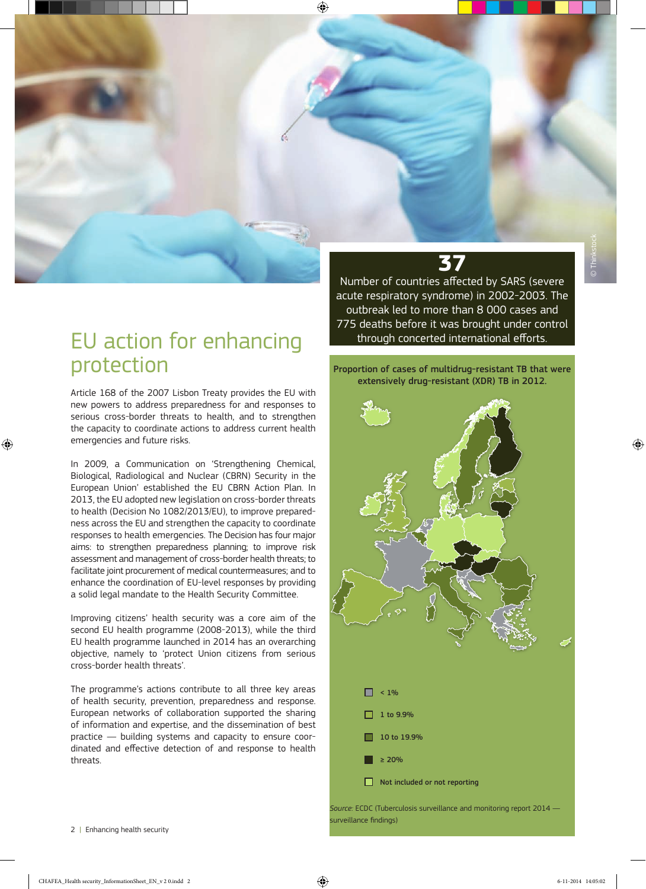#### EU action for enhancing protection

Article 168 of the 2007 Lisbon Treaty provides the EU with new powers to address preparedness for and responses to serious cross-border threats to health, and to strengthen the capacity to coordinate actions to address current health emergencies and future risks.

In 2009, a Communication on 'Strengthening Chemical, Biological, Radiological and Nuclear (CBRN) Security in the European Union' established the EU CBRN Action Plan. In 2013, the EU adopted new legislation on cross-border threats to health (Decision No 1082/2013/EU), to improve preparedness across the EU and strengthen the capacity to coordinate responses to health emergencies. The Decision has four major aims: to strengthen preparedness planning; to improve risk assessment and management of cross-border health threats; to facilitate joint procurement of medical countermeasures; and to enhance the coordination of EU-level responses by providing a solid legal mandate to the Health Security Committee.

Improving citizens' health security was a core aim of the second EU health programme (2008-2013), while the third EU health programme launched in 2014 has an overarching objective, namely to 'protect Union citizens from serious cross-border health threats'.

The programme's actions contribute to all three key areas of health security, prevention, preparedness and response. European networks of collaboration supported the sharing of information and expertise, and the dissemination of best practice — building systems and capacity to ensure coordinated and effective detection of and response to health threats.

## **37**

Number of countries affected by SARS (severe acute respiratory syndrome) in 2002-2003. The outbreak led to more than 8 000 cases and 775 deaths before it was brought under control through concerted international efforts.

Proportion of cases of multidrug-resistant TB that were extensively drug-resistant (XDR) TB in 2012.



*Source:* ECDC (Tuberculosis surveillance and monitoring report 2014 surveillance findings)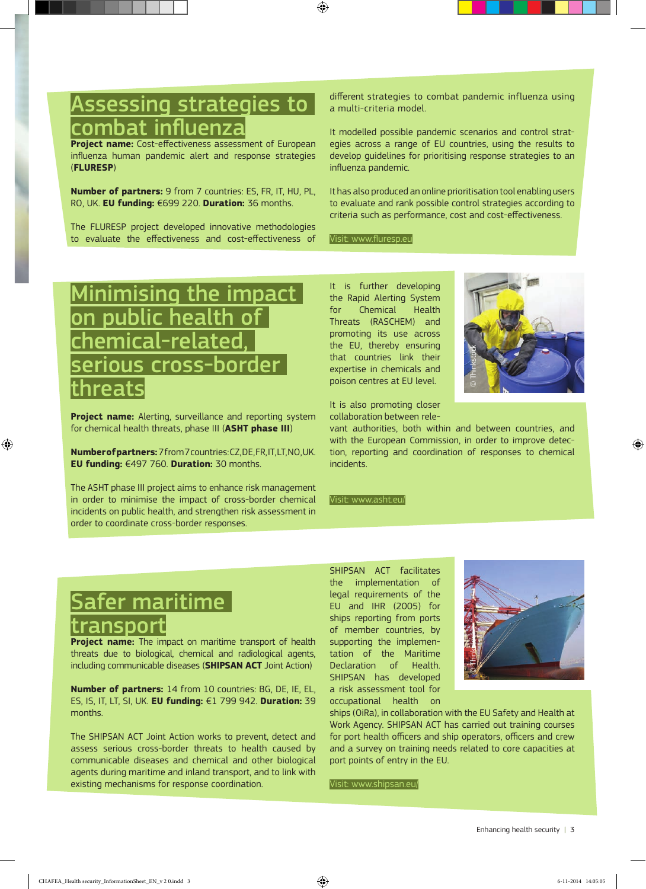#### Assessing strategies to  $\mid$ combat influenza

**Project name:** Cost-effectiveness assessment of European influenza human pandemic alert and response strategies (**FLURESP**)

**Number of partners:** 9 from 7 countries: ES, FR, IT, HU, PL, RO, UK. **EU funding:** €699 220. **Duration:** 36 months.

The FLURESP project developed innovative methodologies to evaluate the effectiveness and cost-effectiveness of

different strategies to combat pandemic influenza using a multi-criteria model.

It modelled possible pandemic scenarios and control strategies across a range of EU countries, using the results to develop guidelines for prioritising response strategies to an influenza pandemic.

It has also produced an online prioritisation tool enabling users to evaluate and rank possible control strategies according to criteria such as performance, cost and cost-effectiveness.

Visit: www.fluresp.eu

## Minimising the impact on public health of emical-related ious cross-border <u>threats</u>

**Project name:** Alerting, surveillance and reporting system for chemical health threats, phase III (**ASHT phase III**)

**Number of partners:** 7 from 7 countries: CZ, DE, FR, IT, LT, NO, UK. **EU funding:** €497 760. **Duration:** 30 months.

The ASHT phase III project aims to enhance risk management in order to minimise the impact of cross-border chemical incidents on public health, and strengthen risk assessment in order to coordinate cross-border responses.

It is further developing the Rapid Alerting System for Chemical Health Threats (RASCHEM) and promoting its use across the EU, thereby ensuring that countries link their expertise in chemicals and poison centres at EU level.



It is also promoting closer collaboration between rele-

vant authorities, both within and between countries, and with the European Commission, in order to improve detection, reporting and coordination of responses to chemical incidents.

Visit: www.asht.eu/

# afer maritime ansport

**Project name:** The impact on maritime transport of health threats due to biological, chemical and radiological agents, including communicable diseases (**SHIPSAN ACT** Joint Action)

**Number of partners:** 14 from 10 countries: BG, DE, IE, EL, ES, IS, IT, LT, SI, UK. **EU funding:** €1 799 942. **Duration:** 39 months.

The SHIPSAN ACT Joint Action works to prevent, detect and assess serious cross-border threats to health caused by communicable diseases and chemical and other biological agents during maritime and inland transport, and to link with existing mechanisms for response coordination.

SHIPSAN ACT facilitates the implementation of legal requirements of the EU and IHR (2005) for ships reporting from ports of member countries, by supporting the implementation of the Maritime Declaration of Health. SHIPSAN has developed a risk assessment tool for occupational health on



ships (OiRa), in collaboration with the EU Safety and Health at Work Agency. SHIPSAN ACT has carried out training courses for port health officers and ship operators, officers and crew and a survey on training needs related to core capacities at port points of entry in the EU.

Visit: www.shipsan.eu/